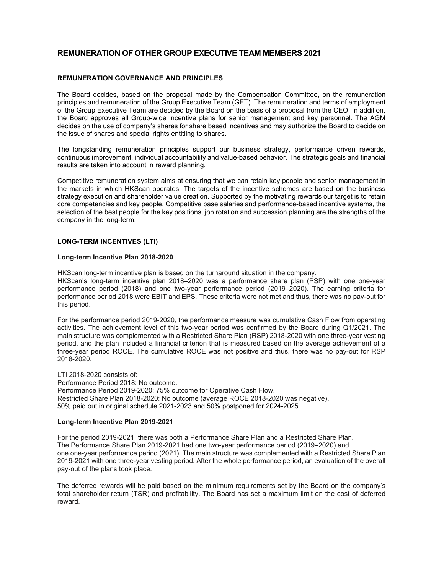# REMUNERATION OF OTHER GROUP EXECUTIVE TEAM MEMBERS 2021

### REMUNERATION GOVERNANCE AND PRINCIPLES

The Board decides, based on the proposal made by the Compensation Committee, on the remuneration principles and remuneration of the Group Executive Team (GET). The remuneration and terms of employment of the Group Executive Team are decided by the Board on the basis of a proposal from the CEO. In addition, the Board approves all Group-wide incentive plans for senior management and key personnel. The AGM decides on the use of company's shares for share based incentives and may authorize the Board to decide on the issue of shares and special rights entitling to shares.

The longstanding remuneration principles support our business strategy, performance driven rewards, continuous improvement, individual accountability and value-based behavior. The strategic goals and financial results are taken into account in reward planning.

Competitive remuneration system aims at ensuring that we can retain key people and senior management in the markets in which HKScan operates. The targets of the incentive schemes are based on the business strategy execution and shareholder value creation. Supported by the motivating rewards our target is to retain core competencies and key people. Competitive base salaries and performance-based incentive systems, the selection of the best people for the key positions, job rotation and succession planning are the strengths of the company in the long-term.

### LONG-TERM INCENTIVES (LTI)

### Long-term Incentive Plan 2018-2020

HKScan long-term incentive plan is based on the turnaround situation in the company.

HKScan's long-term incentive plan 2018–2020 was a performance share plan (PSP) with one one-year performance period (2018) and one two-year performance period (2019–2020). The earning criteria for performance period 2018 were EBIT and EPS. These criteria were not met and thus, there was no pay-out for this period.

For the performance period 2019-2020, the performance measure was cumulative Cash Flow from operating activities. The achievement level of this two-year period was confirmed by the Board during Q1/2021. The main structure was complemented with a Restricted Share Plan (RSP) 2018-2020 with one three-year vesting period, and the plan included a financial criterion that is measured based on the average achievement of a three-year period ROCE. The cumulative ROCE was not positive and thus, there was no pay-out for RSP 2018-2020.

LTI 2018-2020 consists of: Performance Period 2018: No outcome. Performance Period 2019-2020: 75% outcome for Operative Cash Flow. Restricted Share Plan 2018-2020: No outcome (average ROCE 2018-2020 was negative). 50% paid out in original schedule 2021-2023 and 50% postponed for 2024-2025.

#### Long-term Incentive Plan 2019-2021

For the period 2019-2021, there was both a Performance Share Plan and a Restricted Share Plan. The Performance Share Plan 2019-2021 had one two-year performance period (2019–2020) and one one-year performance period (2021). The main structure was complemented with a Restricted Share Plan 2019-2021 with one three-year vesting period. After the whole performance period, an evaluation of the overall pay-out of the plans took place.

The deferred rewards will be paid based on the minimum requirements set by the Board on the company's total shareholder return (TSR) and profitability. The Board has set a maximum limit on the cost of deferred reward.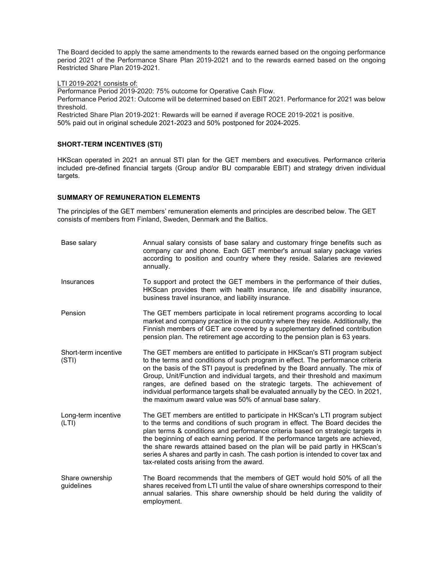The Board decided to apply the same amendments to the rewards earned based on the ongoing performance period 2021 of the Performance Share Plan 2019-2021 and to the rewards earned based on the ongoing Restricted Share Plan 2019-2021.

LTI 2019-2021 consists of:

Performance Period 2019-2020: 75% outcome for Operative Cash Flow.

Performance Period 2021: Outcome will be determined based on EBIT 2021. Performance for 2021 was below threshold.

Restricted Share Plan 2019-2021: Rewards will be earned if average ROCE 2019-2021 is positive. 50% paid out in original schedule 2021-2023 and 50% postponed for 2024-2025.

### SHORT-TERM INCENTIVES (STI)

HKScan operated in 2021 an annual STI plan for the GET members and executives. Performance criteria included pre-defined financial targets (Group and/or BU comparable EBIT) and strategy driven individual targets.

### SUMMARY OF REMUNERATION ELEMENTS

The principles of the GET members' remuneration elements and principles are described below. The GET consists of members from Finland, Sweden, Denmark and the Baltics.

| Base salary                   | Annual salary consists of base salary and customary fringe benefits such as<br>company car and phone. Each GET member's annual salary package varies<br>according to position and country where they reside. Salaries are reviewed<br>annually.                                                                                                                                                                                                                                                                                                         |
|-------------------------------|---------------------------------------------------------------------------------------------------------------------------------------------------------------------------------------------------------------------------------------------------------------------------------------------------------------------------------------------------------------------------------------------------------------------------------------------------------------------------------------------------------------------------------------------------------|
| Insurances                    | To support and protect the GET members in the performance of their duties,<br>HKScan provides them with health insurance, life and disability insurance,<br>business travel insurance, and liability insurance.                                                                                                                                                                                                                                                                                                                                         |
| Pension                       | The GET members participate in local retirement programs according to local<br>market and company practice in the country where they reside. Additionally, the<br>Finnish members of GET are covered by a supplementary defined contribution<br>pension plan. The retirement age according to the pension plan is 63 years.                                                                                                                                                                                                                             |
| Short-term incentive<br>(STI) | The GET members are entitled to participate in HKScan's STI program subject<br>to the terms and conditions of such program in effect. The performance criteria<br>on the basis of the STI payout is predefined by the Board annually. The mix of<br>Group, Unit/Function and individual targets, and their threshold and maximum<br>ranges, are defined based on the strategic targets. The achievement of<br>individual performance targets shall be evaluated annually by the CEO. In 2021,<br>the maximum award value was 50% of annual base salary. |
| Long-term incentive<br>(LTI)  | The GET members are entitled to participate in HKScan's LTI program subject<br>to the terms and conditions of such program in effect. The Board decides the<br>plan terms & conditions and performance criteria based on strategic targets in<br>the beginning of each earning period. If the performance targets are achieved,<br>the share rewards attained based on the plan will be paid partly in HKScan's<br>series A shares and partly in cash. The cash portion is intended to cover tax and<br>tax-related costs arising from the award.       |
| Share ownership<br>guidelines | The Board recommends that the members of GET would hold 50% of all the<br>shares received from LTI until the value of share ownerships correspond to their<br>annual salaries. This share ownership should be held during the validity of<br>employment.                                                                                                                                                                                                                                                                                                |